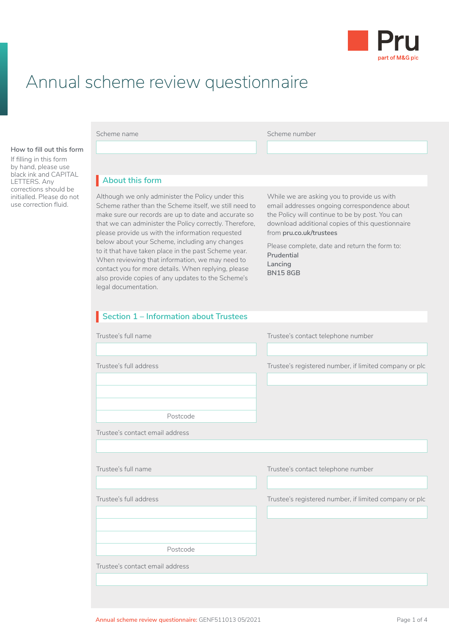

## Annual scheme review questionnaire

**How to fill out this form**

If filling in this form by hand, please use black ink and CAPITAL LETTERS. Any corrections should be initialled. Please do not use correction fluid.

Scheme name **Scheme name** Scheme number

### **About this form** I

Although we only administer the Policy under this Scheme rather than the Scheme itself, we still need to make sure our records are up to date and accurate so that we can administer the Policy correctly. Therefore, please provide us with the information requested below about your Scheme, including any changes to it that have taken place in the past Scheme year. When reviewing that information, we may need to contact you for more details. When replying, please also provide copies of any updates to the Scheme's legal documentation.

While we are asking you to provide us with email addresses ongoing correspondence about the Policy will continue to be by post. You can download additional copies of this questionnaire from **[pru.co.uk/trustees](http://pru.co.uk/trustees)**

Please complete, date and return the form to: **Prudential Lancing BN15 8GB**

# **Section 1 – Information about Trustees** I Trustee's contact email address Trustee's full name Trustee's contact telephone number Trustee's full address Trustee's registered number, if limited company or plc Postcode Trustee's contact email address Trustee's full name Trustee's contact telephone number Trustee's full address Trustee's registered number, if limited company or plc Postcode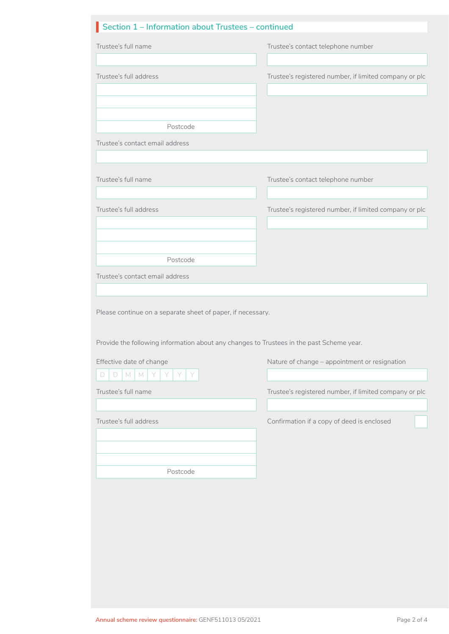| Trustee's full name                                                                                                                                     | Trustee's contact telephone number                     |
|---------------------------------------------------------------------------------------------------------------------------------------------------------|--------------------------------------------------------|
| Trustee's full address                                                                                                                                  | Trustee's registered number, if limited company or plc |
|                                                                                                                                                         |                                                        |
| Postcode<br>Trustee's contact email address                                                                                                             |                                                        |
| Trustee's full name                                                                                                                                     | Trustee's contact telephone number                     |
| Trustee's full address                                                                                                                                  | Trustee's registered number, if limited company or plc |
|                                                                                                                                                         |                                                        |
| Postcode                                                                                                                                                |                                                        |
| Trustee's contact email address                                                                                                                         |                                                        |
|                                                                                                                                                         |                                                        |
| Please continue on a separate sheet of paper, if necessary.<br>Provide the following information about any changes to Trustees in the past Scheme year. |                                                        |
| Effective date of change                                                                                                                                | Nature of change - appointment or resignation          |
| $\Box$<br>M<br>D<br>M<br>Y<br>Y                                                                                                                         |                                                        |
| Trustee's full name                                                                                                                                     | Trustee's registered number, if limited company or plc |
| Trustee's full address                                                                                                                                  | Confirmation if a copy of deed is enclosed             |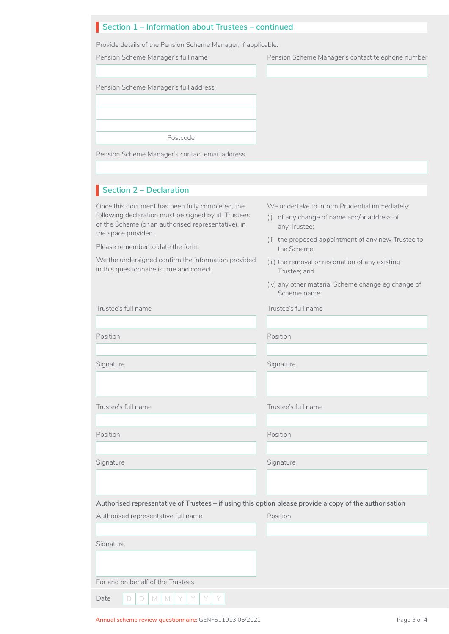### **Section 1 – Information about Trustees – continued** I

Provide details of the Pension Scheme Manager, if applicable.

| Pension Scheme Manager's full name                                                                                                                              | Pension Scheme Manager's contact telephone number                                                             |
|-----------------------------------------------------------------------------------------------------------------------------------------------------------------|---------------------------------------------------------------------------------------------------------------|
|                                                                                                                                                                 |                                                                                                               |
| Pension Scheme Manager's full address                                                                                                                           |                                                                                                               |
|                                                                                                                                                                 |                                                                                                               |
|                                                                                                                                                                 |                                                                                                               |
| Postcode                                                                                                                                                        |                                                                                                               |
| Pension Scheme Manager's contact email address                                                                                                                  |                                                                                                               |
|                                                                                                                                                                 |                                                                                                               |
| Section 2 - Declaration                                                                                                                                         |                                                                                                               |
| Once this document has been fully completed, the<br>following declaration must be signed by all Trustees<br>of the Scheme (or an authorised representative), in | We undertake to inform Prudential immediately:<br>(i) of any change of name and/or address of<br>any Trustee; |
| the space provided.<br>Please remember to date the form.                                                                                                        | (ii) the proposed appointment of any new Trustee to                                                           |
| We the undersigned confirm the information provided<br>in this questionnaire is true and correct.                                                               | the Scheme;<br>(iii) the removal or resignation of any existing                                               |
|                                                                                                                                                                 | Trustee; and<br>(iv) any other material Scheme change eg change of<br>Scheme name.                            |
| Trustee's full name                                                                                                                                             | Trustee's full name                                                                                           |
|                                                                                                                                                                 |                                                                                                               |
| Position                                                                                                                                                        | Position                                                                                                      |
|                                                                                                                                                                 |                                                                                                               |
| Signature                                                                                                                                                       | Signature                                                                                                     |
|                                                                                                                                                                 |                                                                                                               |
| Trustee's full name                                                                                                                                             | Trustee's full name                                                                                           |
|                                                                                                                                                                 |                                                                                                               |
| Position                                                                                                                                                        | Position                                                                                                      |
|                                                                                                                                                                 |                                                                                                               |
| Signature                                                                                                                                                       | Signature                                                                                                     |
|                                                                                                                                                                 |                                                                                                               |
| Authorised representative of Trustees - if using this option please provide a copy of the authorisation                                                         |                                                                                                               |
| Authorised representative full name                                                                                                                             | Position                                                                                                      |
|                                                                                                                                                                 |                                                                                                               |
| Signature                                                                                                                                                       |                                                                                                               |
|                                                                                                                                                                 |                                                                                                               |
| For and on behalf of the Trustees                                                                                                                               |                                                                                                               |
| Date<br>D<br>M<br>$\mathbb N$<br>D.<br>Y                                                                                                                        |                                                                                                               |